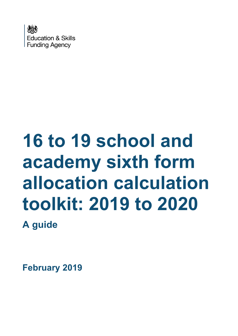

# **16 to 19 school and academy sixth form allocation calculation toolkit: 2019 to 2020**

**A guide**

**February 2019**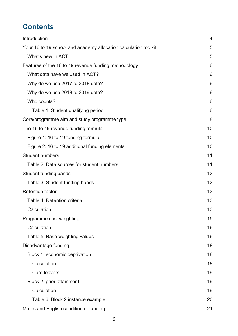# **Contents**

| Introduction                                                    | $\overline{4}$ |
|-----------------------------------------------------------------|----------------|
| Your 16 to 19 school and academy allocation calculation toolkit | 5              |
| What's new in ACT                                               | 5              |
| Features of the 16 to 19 revenue funding methodology            | 6              |
| What data have we used in ACT?                                  | 6              |
| Why do we use 2017 to 2018 data?                                | 6              |
| Why do we use 2018 to 2019 data?                                | 6              |
| Who counts?                                                     | 6              |
| Table 1: Student qualifying period                              | 6              |
| Core/programme aim and study programme type                     | 8              |
| The 16 to 19 revenue funding formula                            | 10             |
| Figure 1: 16 to 19 funding formula                              | 10             |
| Figure 2: 16 to 19 additional funding elements                  | 10             |
| <b>Student numbers</b>                                          | 11             |
| Table 2: Data sources for student numbers                       | 11             |
| Student funding bands                                           | 12             |
| Table 3: Student funding bands                                  | 12             |
| <b>Retention factor</b>                                         | 13             |
| Table 4: Retention criteria                                     | 13             |
| Calculation                                                     | 13             |
| Programme cost weighting                                        | 15             |
| Calculation                                                     | 16             |
| Table 5: Base weighting values                                  | 16             |
| Disadvantage funding                                            | 18             |
| Block 1: economic deprivation                                   | 18             |
| Calculation                                                     | 18             |
| Care leavers                                                    | 19             |
| Block 2: prior attainment                                       | 19             |
| Calculation                                                     | 19             |
| Table 6: Block 2 instance example                               | 20             |
| Maths and English condition of funding                          | 21             |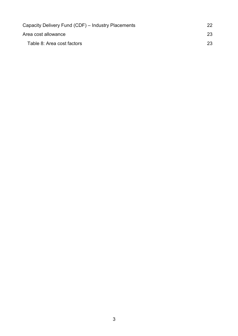| Capacity Delivery Fund (CDF) – Industry Placements |    |
|----------------------------------------------------|----|
| Area cost allowance                                | 23 |
| Table 8: Area cost factors                         | 23 |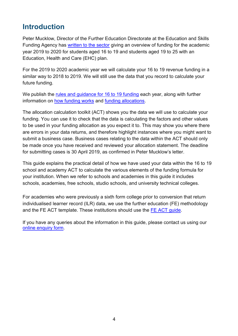# <span id="page-3-0"></span>**Introduction**

Peter Mucklow, Director of the Further Education Directorate at the Education and Skills Funding Agency has [written to the sector](https://www.gov.uk/government/publications/funding-for-academic-year-2019-to-2020-for-students-and-learners-aged-over-16) giving an overview of funding for the academic year 2019 to 2020 for students aged 16 to 19 and students aged 19 to 25 with an Education, Health and Care (EHC) plan.

For the 2019 to 2020 academic year we will calculate your 16 to 19 revenue funding in a similar way to 2018 to 2019. We will still use the data that you record to calculate your future funding.

We publish the [rules and guidance for 16 to 19 funding](https://www.gov.uk/guidance/16-to-19-education-funding-guidance) each year, along with further information on [how funding works](https://www.gov.uk/guidance/16-to-19-funding-how-it-works) and [funding allocations.](https://www.gov.uk/government/collections/funding-education-for-16-to-19-year-olds#16-to-19-funding:-allocations-to-institutions)

The allocation calculation toolkit (ACT) shows you the data we will use to calculate your funding. You can use it to check that the data is calculating the factors and other values to be used in your funding allocation as you expect it to. This may show you where there are errors in your data returns, and therefore highlight instances where you might want to submit a business case. Business cases relating to the data within the ACT should only be made once you have received and reviewed your allocation statement. The deadline for submitting cases is 30 April 2019, as confirmed in Peter Mucklow's letter.

This guide explains the practical detail of how we have used your data within the 16 to 19 school and academy ACT to calculate the various elements of the funding formula for your institution. When we refer to schools and academies in this guide it includes schools, academies, free schools, studio schools, and university technical colleges.

For academies who were previously a sixth form college prior to conversion that return individualised learner record (ILR) data, we use the further education (FE) methodology and the FE ACT template. These institutions should use the [FE ACT guide.](https://www.gov.uk/government/publications/16-to-19-funding-allocations-supporting-documents-for-2019-to-2020)

If you have any queries about the information in this guide, please contact us using our [online enquiry form.](https://form.education.gov.uk/fillform.php?self=1&form_id=HR41uA2F8Dh&type=form&ShowMsg=1&form_name=Knowledge+centre+enquiry+form&noRegister=false&ret=%2Fmodule%2Fservices&noLoginPrompt=1)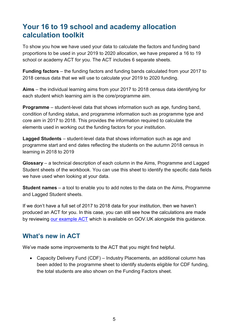## <span id="page-4-0"></span>**Your 16 to 19 school and academy allocation calculation toolkit**

To show you how we have used your data to calculate the factors and funding band proportions to be used in your 2019 to 2020 allocation, we have prepared a 16 to 19 school or academy ACT for you. The ACT includes 6 separate sheets.

**Funding factors** – the funding factors and funding bands calculated from your 2017 to 2018 census data that we will use to calculate your 2019 to 2020 funding.

**Aims** – the individual learning aims from your 2017 to 2018 census data identifying for each student which learning aim is the core/programme aim.

**Programme** – student-level data that shows information such as age, funding band, condition of funding status, and programme information such as programme type and core aim in 2017 to 2018. This provides the information required to calculate the elements used in working out the funding factors for your institution.

**Lagged Students** – student-level data that shows information such as age and programme start and end dates reflecting the students on the autumn 2018 census in learning in 2018 to 2019

**Glossary** – a technical description of each column in the Aims, Programme and Lagged Student sheets of the workbook. You can use this sheet to identify the specific data fields we have used when looking at your data.

**Student names** – a tool to enable you to add notes to the data on the Aims, Programme and Lagged Student sheets.

If we don't have a full set of 2017 to 2018 data for your institution, then we haven't produced an ACT for you. In this case, you can still see how the calculations are made by reviewing [our example ACT](https://www.gov.uk/government/publications/16-to-19-funding-allocations-supporting-documents-for-2019-to-2020) which is available on GOV.UK alongside this guidance.

## <span id="page-4-1"></span>**What's new in ACT**

We've made some improvements to the ACT that you might find helpful.

 Capacity Delivery Fund (CDF) – Industry Placements, an additional column has been added to the programme sheet to identify students eligible for CDF funding, the total students are also shown on the Funding Factors sheet.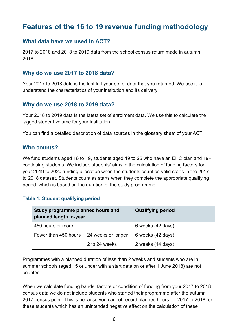## <span id="page-5-0"></span>**Features of the 16 to 19 revenue funding methodology**

#### <span id="page-5-1"></span>**What data have we used in ACT?**

2017 to 2018 and 2018 to 2019 data from the school census return made in autumn 2018.

#### <span id="page-5-2"></span>**Why do we use 2017 to 2018 data?**

Your 2017 to 2018 data is the last full-year set of data that you returned. We use it to understand the characteristics of your institution and its delivery.

#### <span id="page-5-3"></span>**Why do we use 2018 to 2019 data?**

Your 2018 to 2019 data is the latest set of enrolment data. We use this to calculate the lagged student volume for your institution.

You can find a detailed description of data sources in the glossary sheet of your ACT.

#### <span id="page-5-4"></span>**Who counts?**

We fund students aged 16 to 19, students aged 19 to 25 who have an EHC plan and 19+ continuing students. We include students' aims in the calculation of funding factors for your 2019 to 2020 funding allocation when the students count as valid starts in the 2017 to 2018 dataset. Students count as starts when they complete the appropriate qualifying period, which is based on the duration of the study programme.

#### <span id="page-5-5"></span>**Table 1: Student qualifying period**

| Study programme planned hours and<br>planned length in-year |               | <b>Qualifying period</b> |
|-------------------------------------------------------------|---------------|--------------------------|
| 450 hours or more                                           |               | 6 weeks (42 days)        |
| 24 weeks or longer<br>Fewer than 450 hours                  |               | 6 weeks (42 days)        |
|                                                             | 2 to 24 weeks | 2 weeks (14 days)        |

Programmes with a planned duration of less than 2 weeks and students who are in summer schools (aged 15 or under with a start date on or after 1 June 2018) are not counted.

When we calculate funding bands, factors or condition of funding from your 2017 to 2018 census data we do not include students who started their programme after the autumn 2017 census point. This is because you cannot record planned hours for 2017 to 2018 for these students which has an unintended negative effect on the calculation of these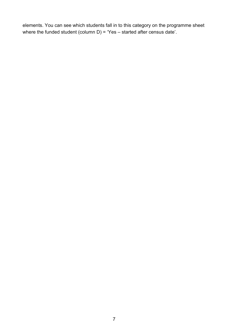elements. You can see which students fall in to this category on the programme sheet where the funded student (column D) = 'Yes – started after census date'.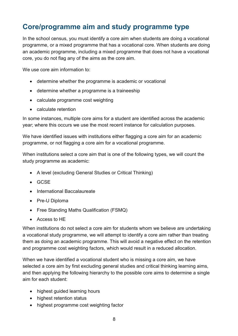## <span id="page-7-0"></span>**Core/programme aim and study programme type**

In the school census, you must identify a core aim when students are doing a vocational programme, or a mixed programme that has a vocational core. When students are doing an academic programme, including a mixed programme that does not have a vocational core, you do not flag any of the aims as the core aim.

We use core aim information to:

- determine whether the programme is academic or vocational
- determine whether a programme is a traineeship
- calculate programme cost weighting
- calculate retention

In some instances, multiple core aims for a student are identified across the academic year; where this occurs we use the most recent instance for calculation purposes.

We have identified issues with institutions either flagging a core aim for an academic programme, or not flagging a core aim for a vocational programme.

When institutions select a core aim that is one of the following types, we will count the study programme as academic:

- A level (excluding General Studies or Critical Thinking)
- GCSE
- International Baccalaureate
- Pre-U Diploma
- Free Standing Maths Qualification (FSMQ)
- Access to HE

When institutions do not select a core aim for students whom we believe are undertaking a vocational study programme, we will attempt to identify a core aim rather than treating them as doing an academic programme. This will avoid a negative effect on the retention and programme cost weighting factors, which would result in a reduced allocation.

When we have identified a vocational student who is missing a core aim, we have selected a core aim by first excluding general studies and critical thinking learning aims, and then applying the following hierarchy to the possible core aims to determine a single aim for each student:

- highest guided learning hours
- highest retention status
- highest programme cost weighting factor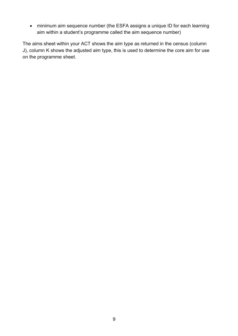minimum aim sequence number (the ESFA assigns a unique ID for each learning aim within a student's programme called the aim sequence number)

The aims sheet within your ACT shows the aim type as returned in the census (column J), column K shows the adjusted aim type, this is used to determine the core aim for use on the programme sheet.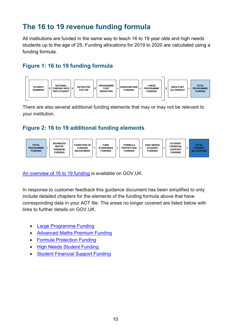# <span id="page-9-0"></span>**The 16 to 19 revenue funding formula**

All institutions are funded in the same way to teach 16 to 19 year olds and high needs students up to the age of 25. Funding allocations for 2019 to 2020 are calculated using a funding formula.

#### <span id="page-9-1"></span>**Figure 1: 16 to 19 funding formula**



There are also several additional funding elements that may or may not be relevant to your institution.

## <span id="page-9-2"></span>**Figure 2: 16 to 19 additional funding elements**



[An overview of 16 to 19 funding](https://www.gov.uk/guidance/16-to-19-funding-how-it-works) is available on GOV.UK.

In response to customer feedback this guidance document has been simplified to only include detailed chapters for the elements of the funding formula above that have corresponding data in your ACT file. The areas no longer covered are listed below with links to further details on GOV.UK.

- [Large Programme Funding](https://www.gov.uk/guidance/16-to-19-funding-large-programme-uplift)
- [Advanced Maths Premium Funding](https://www.gov.uk/guidance/get-help-to-increase-participation-in-advanced-maths)
- **•** [Formula Protection Funding](https://www.gov.uk/guidance/formula-protection-funding)
- [High Needs Student Funding](https://www.gov.uk/government/publications/high-needs-funding-arrangements-2019-to-2020)
- [Student Financial Support Funding](https://www.gov.uk/guidance/16-to-19-education-financial-support-for-students)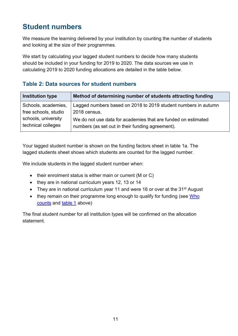## <span id="page-10-0"></span>**Student numbers**

We measure the learning delivered by your institution by counting the number of students and looking at the size of their programmes.

We start by calculating your lagged student numbers to decide how many students should be included in your funding for 2019 to 2020. The data sources we use in calculating 2019 to 2020 funding allocations are detailed in the table below.

### <span id="page-10-1"></span>**Table 2: Data sources for student numbers**

| <b>Institution type</b> | Method of determining number of students attracting funding    |
|-------------------------|----------------------------------------------------------------|
| Schools, academies,     | Lagged numbers based on 2018 to 2019 student numbers in autumn |
| free schools, studio    | 2018 census.                                                   |
| schools, university     | We do not use data for academies that are funded on estimated  |
| technical colleges      | numbers (as set out in their funding agreement).               |

Your lagged student number is shown on the funding factors sheet in table 1a. The lagged students sheet shows which students are counted for the lagged number.

We include students in the lagged student number when:

- $\bullet$  their enrolment status is either main or current (M or C)
- they are in national curriculum years 12, 13 or 14
- They are in national curriculum year 11 and were 16 or over at the  $31<sup>st</sup>$  August
- they remain on their programme long enough to qualify for funding (see Who [counts](#page-5-4) and [table 1](#page-5-5) above)

The final student number for all institution types will be confirmed on the allocation statement.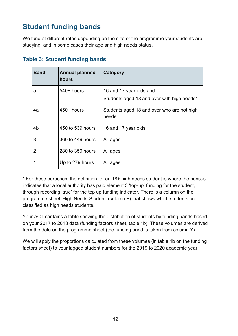# <span id="page-11-0"></span>**Student funding bands**

We fund at different rates depending on the size of the programme your students are studying, and in some cases their age and high needs status.

| <b>Band</b> | <b>Annual planned</b><br>hours | Category                                                              |
|-------------|--------------------------------|-----------------------------------------------------------------------|
| 5           | 540+ hours                     | 16 and 17 year olds and<br>Students aged 18 and over with high needs* |
| 4a          | $450+$ hours                   | Students aged 18 and over who are not high<br>needs                   |
| 4b          | 450 to 539 hours               | 16 and 17 year olds                                                   |
| 3           | 360 to 449 hours               | All ages                                                              |
| 2           | 280 to 359 hours               | All ages                                                              |
|             | Up to 279 hours                | All ages                                                              |

#### <span id="page-11-1"></span>**Table 3: Student funding bands**

\* For these purposes, the definition for an 18+ high needs student is where the census indicates that a local authority has paid element 3 'top-up' funding for the student, through recording 'true' for the top up funding indicator. There is a column on the programme sheet 'High Needs Student' (column F) that shows which students are classified as high needs students.

Your ACT contains a table showing the distribution of students by funding bands based on your 2017 to 2018 data (funding factors sheet, table 1b). These volumes are derived from the data on the programme sheet (the funding band is taken from column Y).

We will apply the proportions calculated from these volumes (in table 1b on the funding factors sheet) to your lagged student numbers for the 2019 to 2020 academic year.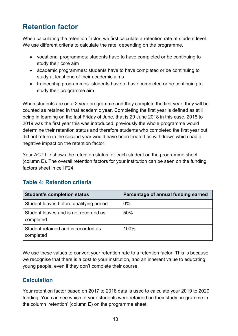# <span id="page-12-0"></span>**Retention factor**

When calculating the retention factor, we first calculate a retention rate at student level. We use different criteria to calculate the rate, depending on the programme.

- vocational programmes: students have to have completed or be continuing to study their core aim
- academic programmes: students have to have completed or be continuing to study at least one of their academic aims
- traineeship programmes: students have to have completed or be continuing to study their programme aim

When students are on a 2 year programme and they complete the first year, they will be counted as retained in that academic year. Completing the first year is defined as still being in learning on the last Friday of June, that is 29 June 2018 in this case. 2018 to 2019 was the first year this was introduced, previously the whole programme would determine their retention status and therefore students who completed the first year but did not return in the second year would have been treated as withdrawn which had a negative impact on the retention factor.

Your ACT file shows the retention status for each student on the programme sheet (column E). The overall retention factors for your institution can be seen on the funding factors sheet in cell F24.

| <b>Student's completion status</b>                 | Percentage of annual funding earned |
|----------------------------------------------------|-------------------------------------|
| Student leaves before qualifying period            | $0\%$                               |
| Student leaves and is not recorded as<br>completed | 50%                                 |
| Student retained and is recorded as<br>completed   | 100%                                |

## <span id="page-12-1"></span>**Table 4: Retention criteria**

We use these values to convert your retention rate to a retention factor. This is because we recognise that there is a cost to your institution, and an inherent value to educating young people, even if they don't complete their course.

## <span id="page-12-2"></span>**Calculation**

Your retention factor based on 2017 to 2018 data is used to calculate your 2019 to 2020 funding. You can see which of your students were retained on their study programme in the column 'retention' (column E) on the programme sheet.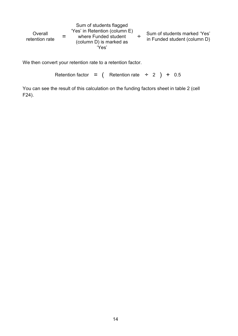Overall retention rate = Sum of students flagged 'Yes' in Retention (column E) where Funded student (column D) is marked as 'Yes' ÷ Sum of students marked 'Yes' in Funded student (column D)

We then convert your retention rate to a retention factor.

```
Retention factor = ( Retention rate ÷ 2 ) + 0.5
```
You can see the result of this calculation on the funding factors sheet in table 2 (cell F24).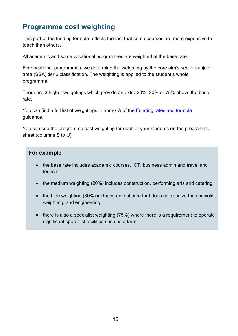# <span id="page-14-0"></span>**Programme cost weighting**

This part of the funding formula reflects the fact that some courses are more expensive to teach than others.

All academic and some vocational programmes are weighted at the base rate.

For vocational programmes, we determine the weighting by the core aim's sector subject area (SSA) tier 2 classification. The weighting is applied to the student's whole programme.

There are 3 higher weightings which provide an extra 20%, 30% or 75% above the base rate.

You can find a full list of weightings in annex A of the [Funding rates and formula](https://www.gov.uk/government/publications/funding-rates-and-formula) guidance.

You can see the programme cost weighting for each of your students on the programme sheet (columns S to U).

#### **For example**

- the base rate includes academic courses, ICT, business admin and travel and tourism
- the medium weighting (20%) includes construction, performing arts and catering
- the high weighting (30%) includes animal care that does not receive the specialist weighting, and engineering
- there is also a specialist weighting (75%) where there is a requirement to operate significant specialist facilities such as a farm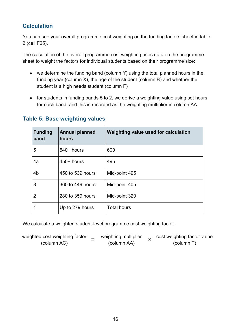## <span id="page-15-0"></span>**Calculation**

You can see your overall programme cost weighting on the funding factors sheet in table 2 (cell F25).

The calculation of the overall programme cost weighting uses data on the programme sheet to weight the factors for individual students based on their programme size:

- we determine the funding band (column Y) using the total planned hours in the funding year (column X), the age of the student (column B) and whether the student is a high needs student (column F)
- for students in funding bands 5 to 2, we derive a weighting value using set hours for each band, and this is recorded as the weighting multiplier in column AA.

| Funding<br>band | <b>Annual planned</b><br>hours | Weighting value used for calculation |
|-----------------|--------------------------------|--------------------------------------|
| 5               | $540+$ hours                   | 600                                  |
| 4a              | $450+$ hours                   | 495                                  |
| 4 <sub>b</sub>  | 450 to 539 hours               | Mid-point 495                        |
| $\overline{3}$  | 360 to 449 hours               | Mid-point 405                        |
| $\overline{2}$  | 280 to 359 hours               | Mid-point 320                        |
| $\mathbf 1$     | Up to 279 hours                | <b>Total hours</b>                   |

### <span id="page-15-1"></span>**Table 5: Base weighting values**

We calculate a weighted student-level programme cost weighting factor.

weighted cost weighting factor  $=$ (column AC) weighting multiplier (column AA) × cost weighting factor value (column T)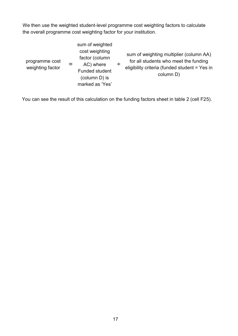We then use the weighted student-level programme cost weighting factors to calculate the overall programme cost weighting factor for your institution.

| programme cost<br>weighting factor |  | sum of weighted<br>cost weighting<br>factor (column<br>AC) where<br><b>Funded student</b><br>(column D) is<br>marked as 'Yes' | ÷ | sum of weighting multiplier (column AA)<br>for all students who meet the funding<br>eligibility criteria (funded student = Yes in<br>column D) |
|------------------------------------|--|-------------------------------------------------------------------------------------------------------------------------------|---|------------------------------------------------------------------------------------------------------------------------------------------------|
|------------------------------------|--|-------------------------------------------------------------------------------------------------------------------------------|---|------------------------------------------------------------------------------------------------------------------------------------------------|

You can see the result of this calculation on the funding factors sheet in table 2 (cell F25).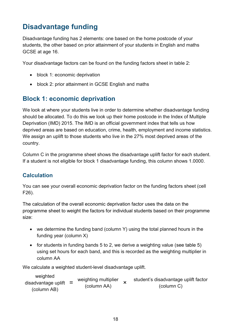# <span id="page-17-0"></span>**Disadvantage funding**

Disadvantage funding has 2 elements: one based on the home postcode of your students, the other based on prior attainment of your students in English and maths GCSE at age 16.

Your disadvantage factors can be found on the funding factors sheet in table 2:

- block 1: economic deprivation
- block 2: prior attainment in GCSE English and maths

## <span id="page-17-1"></span>**Block 1: economic deprivation**

We look at where your students live in order to determine whether disadvantage funding should be allocated. To do this we look up their home postcode in the Index of Multiple Deprivation (IMD) 2015. The IMD is an official government index that tells us how deprived areas are based on education, crime, health, employment and income statistics. We assign an uplift to those students who live in the 27% most deprived areas of the country.

Column C in the programme sheet shows the disadvantage uplift factor for each student. If a student is not eligible for block 1 disadvantage funding, this column shows 1.0000.

### <span id="page-17-2"></span>**Calculation**

You can see your overall economic deprivation factor on the funding factors sheet (cell F26).

The calculation of the overall economic deprivation factor uses the data on the programme sheet to weight the factors for individual students based on their programme size:

- we determine the funding band (column Y) using the total planned hours in the funding year (column X)
- for students in funding bands 5 to 2, we derive a weighting value (see table 5) using set hours for each band, and this is recorded as the weighting multiplier in column AA

We calculate a weighted student-level disadvantage uplift.

weighted disadvantage uplift  $=$ (column AB) weighting multiplier (column AA) × student's disadvantage uplift factor (column C)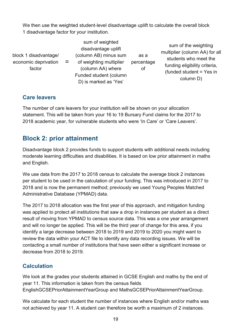We then use the weighted student-level disadvantage uplift to calculate the overall block 1 disadvantage factor for your institution.

block 1 disadvantage/ economic deprivation factor =

sum of weighted disadvantage uplift (column AB) minus sum of weighting multiplier (column AA) where Funded student (column D) is marked as 'Yes'

as a percentage of

sum of the weighting multiplier (column AA) for all students who meet the funding eligibility criteria, (funded student = Yes in column D)

## <span id="page-18-0"></span>**Care leavers**

The number of care leavers for your institution will be shown on your allocation statement. This will be taken from your 16 to 19 Bursary Fund claims for the 2017 to 2018 academic year, for vulnerable students who were 'In Care' or 'Care Leavers'.

## <span id="page-18-1"></span>**Block 2: prior attainment**

Disadvantage block 2 provides funds to support students with additional needs including moderate learning difficulties and disabilities. It is based on low prior attainment in maths and English.

We use data from the 2017 to 2018 census to calculate the average block 2 instances per student to be used in the calculation of your funding. This was introduced in 2017 to 2018 and is now the permanent method; previously we used Young Peoples Matched Administrative Database (YPMAD) data.

The 2017 to 2018 allocation was the first year of this approach, and mitigation funding was applied to protect all institutions that saw a drop in instances per student as a direct result of moving from YPMAD to census source data. This was a one year arrangement and will no longer be applied. This will be the third year of change for this area, if you identify a large decrease between 2018 to 2019 and 2019 to 2020 you might want to review the data within your ACT file to identify any data recording issues. We will be contacting a small number of institutions that have seen either a significant increase or decrease from 2018 to 2019.

## <span id="page-18-2"></span>**Calculation**

We look at the grades your students attained in GCSE English and maths by the end of year 11. This information is taken from the census fields EnglishGCSEPriorAttainmentYearGroup and MathsGCSEPriorAttainmentYearGroup.

We calculate for each student the number of instances where English and/or maths was not achieved by year 11. A student can therefore be worth a maximum of 2 instances.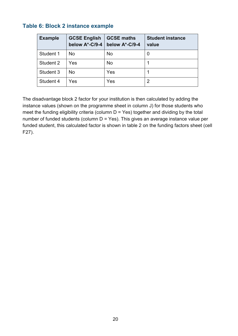#### <span id="page-19-0"></span>**Table 6: Block 2 instance example**

| <b>Example</b> | <b>GCSE English</b><br>below A*-C/9-4 | <b>GCSE maths</b><br>below A*-C/9-4 | <b>Student instance</b><br>value |
|----------------|---------------------------------------|-------------------------------------|----------------------------------|
| Student 1      | <b>No</b>                             | <b>No</b>                           | 0                                |
| Student 2      | Yes                                   | <b>No</b>                           |                                  |
| Student 3      | No                                    | Yes                                 |                                  |
| Student 4      | Yes                                   | Yes                                 | 2                                |

The disadvantage block 2 factor for your institution is then calculated by adding the instance values (shown on the programme sheet in column J) for those students who meet the funding eligibility criteria (column  $D = Yes$ ) together and dividing by the total number of funded students (column D = Yes). This gives an average instance value per funded student, this calculated factor is shown in table 2 on the funding factors sheet (cell F27).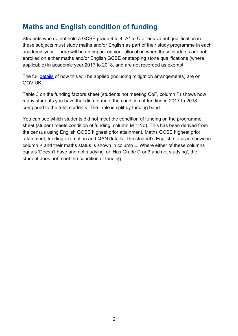# <span id="page-20-0"></span>**Maths and English condition of funding**

Students who do not hold a GCSE grade 9 to 4, A\* to C or equivalent qualification in these subjects must study maths and/or English as part of their study programme in each academic year. There will be an impact on your allocation when these students are not enrolled on either maths and/or English GCSE or stepping stone qualifications (where applicable) in academic year 2017 to 2018, and are not recorded as exempt.

The full [details](https://www.gov.uk/guidance/16-to-19-funding-maths-and-english-condition-of-funding) of how this will be applied (including mitigation arrangements) are on GOV.UK.

Table 3 on the funding factors sheet (students not meeting CoF, column F) shows how many students you have that did not meet the condition of funding in 2017 to 2018 compared to the total students. The table is split by funding band.

You can see which students did not meet the condition of funding on the programme sheet (student meets condition of funding, column M = No). This has been derived from the census using English GCSE highest prior attainment, Maths GCSE highest prior attainment, funding exemption and QAN details. The student's English status is shown in column K and their maths status is shown in column L. Where either of these columns equals 'Doesn't have and not studying' or 'Has Grade D or 3 and not studying', the student does not meet the condition of funding.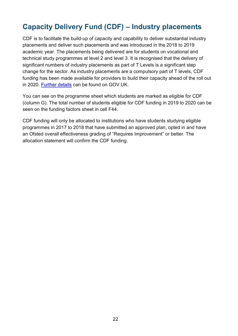# <span id="page-21-0"></span>**Capacity Delivery Fund (CDF) – Industry placements**

CDF is to facilitate the build-up of capacity and capability to deliver substantial industry placements and deliver such placements and was introduced in the 2018 to 2019 academic year. The placements being delivered are for students on vocational and technical study programmes at level 2 and level 3. It is recognised that the delivery of significant numbers of industry placements as part of T Levels is a significant step change for the sector. As industry placements are a compulsory part of T levels, CDF funding has been made available for providers to build their capacity ahead of the roll out in 2020. [Further details](https://www.gov.uk/guidance/industry-placements-capacity-and-delivery-fund-cdf-for-academic-year-2019-to-2020#qualifying-students) can be found on GOV.UK.

You can see on the programme sheet which students are marked as eligible for CDF (column G). The total number of students eligible for CDF funding in 2019 to 2020 can be seen on the funding factors sheet in cell F44.

CDF funding will only be allocated to institutions who have students studying eligible programmes in 2017 to 2018 that have submitted an approved plan, opted in and have an Ofsted overall effectiveness grading of "Requires Improvement" or better. The allocation statement will confirm the CDF funding.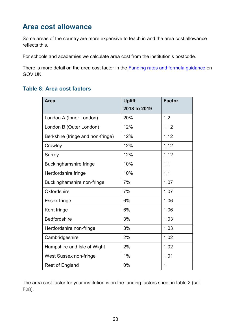## <span id="page-22-0"></span>**Area cost allowance**

Some areas of the country are more expensive to teach in and the area cost allowance reflects this.

For schools and academies we calculate area cost from the institution's postcode.

There is more detail on the area cost factor in the [Funding rates and formula guidance](https://www.gov.uk/government/publications/funding-rates-and-formula) on GOV.UK.

#### <span id="page-22-1"></span>**Table 8: Area cost factors**

| <b>Area</b>                       | <b>Uplift</b> | <b>Factor</b> |
|-----------------------------------|---------------|---------------|
|                                   | 2018 to 2019  |               |
| London A (Inner London)           | 20%           | 1.2           |
| London B (Outer London)           | 12%           | 1.12          |
| Berkshire (fringe and non-fringe) | 12%           | 1.12          |
| Crawley                           | 12%           | 1.12          |
| Surrey                            | 12%           | 1.12          |
| Buckinghamshire fringe            | 10%           | 1.1           |
| Hertfordshire fringe              | 10%           | 1.1           |
| Buckinghamshire non-fringe        | 7%            | 1.07          |
| Oxfordshire                       | 7%            | 1.07          |
| Essex fringe                      | 6%            | 1.06          |
| Kent fringe                       | 6%            | 1.06          |
| <b>Bedfordshire</b>               | 3%            | 1.03          |
| Hertfordshire non-fringe          | 3%            | 1.03          |
| Cambridgeshire                    | 2%            | 1.02          |
| Hampshire and Isle of Wight       | 2%            | 1.02          |
| West Sussex non-fringe            | 1%            | 1.01          |
| Rest of England                   | 0%            | 1             |

The area cost factor for your institution is on the funding factors sheet in table 2 (cell F28).